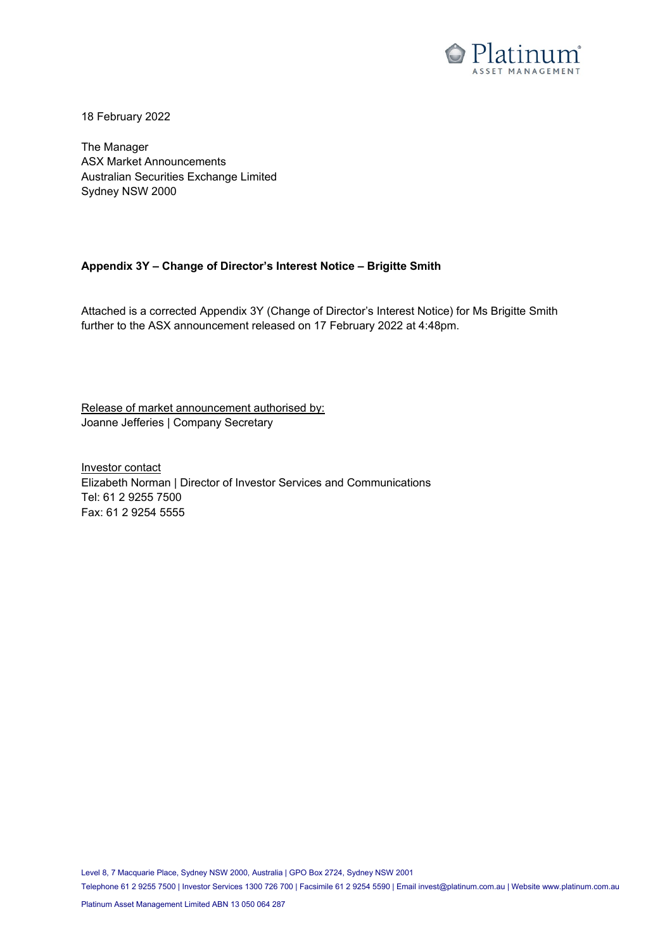

18 February 2022

The Manager ASX Market Announcements Australian Securities Exchange Limited Sydney NSW 2000

### **Appendix 3Y – Change of Director's Interest Notice – Brigitte Smith**

Attached is a corrected Appendix 3Y (Change of Director's Interest Notice) for Ms Brigitte Smith further to the ASX announcement released on 17 February 2022 at 4:48pm.

Release of market announcement authorised by: Joanne Jefferies | Company Secretary

Investor contact Elizabeth Norman | Director of Investor Services and Communications Tel: 61 2 9255 7500 Fax: 61 2 9254 5555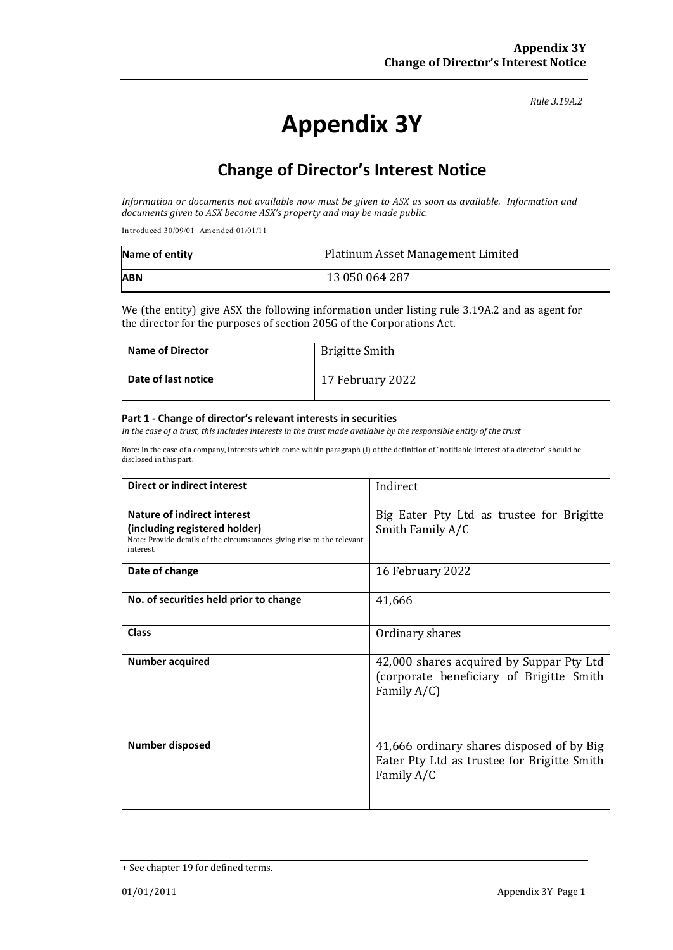#### *Rule 3.19A.2*

# **Appendix 3Y**

# **Change of Director's Interest Notice**

*Information or documents not available now must be given to ASX as soon as available. Information and documents given to ASX become ASX's property and may be made public.*

Introduced 30/09/01 Amended 01/01/11

| Name of entity | Platinum Asset Management Limited |
|----------------|-----------------------------------|
| <b>ABN</b>     | 13 050 064 287                    |

We (the entity) give ASX the following information under listing rule 3.19A.2 and as agent for the director for the purposes of section 205G of the Corporations Act.

| <b>Name of Director</b> | <b>Brigitte Smith</b> |
|-------------------------|-----------------------|
| Date of last notice     | 17 February 2022      |

### **Part 1 - Change of director's relevant interests in securities**

*In the case of a trust, this includes interests in the trust made available by the responsible entity of the trust*

Note: In the case of a company, interests which come within paragraph (i) of the definition of "notifiable interest of a director" should be disclosed in this part.

| Direct or indirect interest                                                                                                                         | Indirect                                                                                               |
|-----------------------------------------------------------------------------------------------------------------------------------------------------|--------------------------------------------------------------------------------------------------------|
| Nature of indirect interest<br>(including registered holder)<br>Note: Provide details of the circumstances giving rise to the relevant<br>interest. | Big Eater Pty Ltd as trustee for Brigitte<br>Smith Family A/C                                          |
| Date of change                                                                                                                                      | 16 February 2022                                                                                       |
| No. of securities held prior to change                                                                                                              | 41,666                                                                                                 |
| <b>Class</b>                                                                                                                                        | Ordinary shares                                                                                        |
| <b>Number acquired</b>                                                                                                                              | 42,000 shares acquired by Suppar Pty Ltd<br>(corporate beneficiary of Brigitte Smith<br>Family $A/C$ ) |
| <b>Number disposed</b>                                                                                                                              | 41,666 ordinary shares disposed of by Big<br>Eater Pty Ltd as trustee for Brigitte Smith<br>Family A/C |

<sup>+</sup> See chapter 19 for defined terms.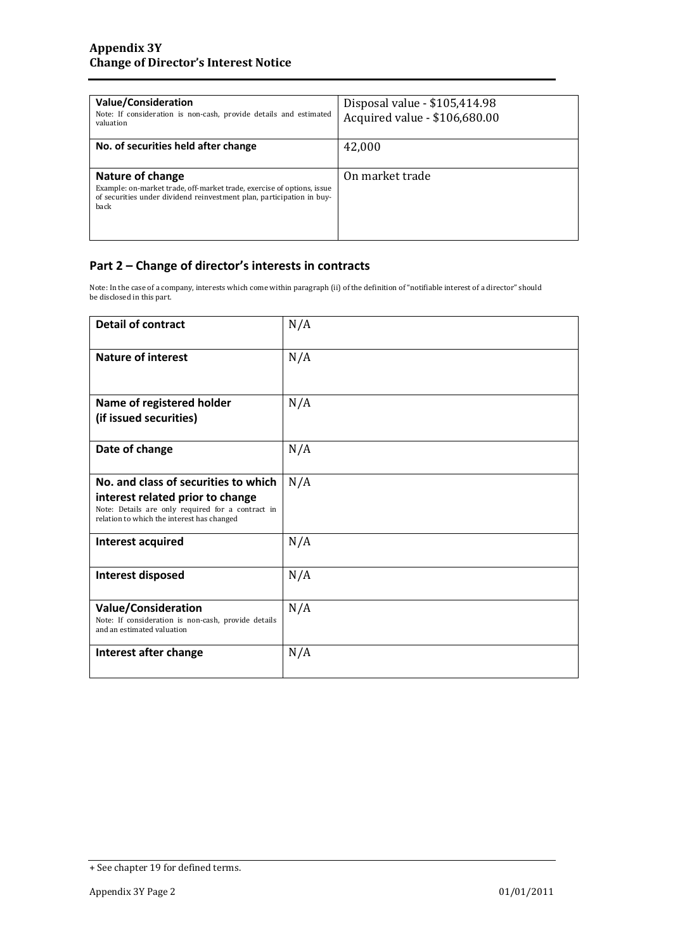| <b>Value/Consideration</b><br>Note: If consideration is non-cash, provide details and estimated<br>valuation                                                                | Disposal value - \$105,414.98<br>Acquired value - \$106,680.00 |
|-----------------------------------------------------------------------------------------------------------------------------------------------------------------------------|----------------------------------------------------------------|
| No. of securities held after change                                                                                                                                         | 42.000                                                         |
| Nature of change<br>Example: on-market trade, off-market trade, exercise of options, issue<br>of securities under dividend reinvestment plan, participation in buy-<br>back | On market trade                                                |

### **Part 2 – Change of director's interests in contracts**

Note: In the case of a company, interests which come within paragraph (ii) of the definition of "notifiable interest of a director" should be disclosed in this part.

| <b>Detail of contract</b>                                                                                                           | N/A |
|-------------------------------------------------------------------------------------------------------------------------------------|-----|
| <b>Nature of interest</b>                                                                                                           | N/A |
| Name of registered holder                                                                                                           | N/A |
| (if issued securities)                                                                                                              |     |
| Date of change                                                                                                                      | N/A |
| No. and class of securities to which                                                                                                | N/A |
| interest related prior to change<br>Note: Details are only required for a contract in<br>relation to which the interest has changed |     |
| Interest acquired                                                                                                                   | N/A |
| <b>Interest disposed</b>                                                                                                            | N/A |
| <b>Value/Consideration</b><br>Note: If consideration is non-cash, provide details<br>and an estimated valuation                     | N/A |
| Interest after change                                                                                                               | N/A |

<sup>+</sup> See chapter 19 for defined terms.